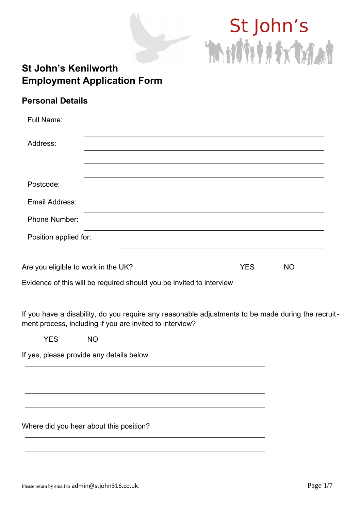# St John's Mitti

## **St John's Kenilworth Employment Application Form**

### **Personal Details**

| <b>Full Name:</b>                                                    |  |  |            |           |  |
|----------------------------------------------------------------------|--|--|------------|-----------|--|
| Address:                                                             |  |  |            |           |  |
|                                                                      |  |  |            |           |  |
| Postcode:                                                            |  |  |            |           |  |
| Email Address:                                                       |  |  |            |           |  |
| <b>Phone Number:</b>                                                 |  |  |            |           |  |
| Position applied for:                                                |  |  |            |           |  |
| Are you eligible to work in the UK?                                  |  |  | <b>YES</b> | <b>NO</b> |  |
| Evidence of this will be required should you be invited to interview |  |  |            |           |  |

If you have a disability, do you require any reasonable adjustments to be made during the recruitment process, including if you are invited to interview?

YES NO

If yes, please provide any details below

Where did you hear about this position?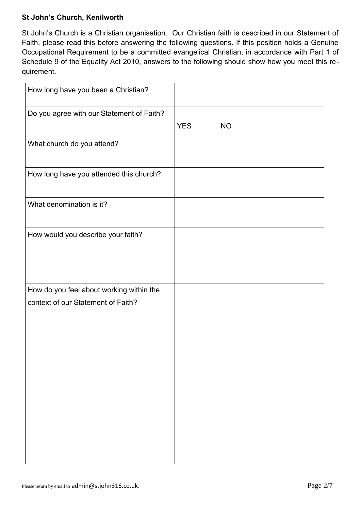#### **St John's Church, Kenilworth**

St John's Church is a Christian organisation. Our Christian faith is described in our Statement of Faith, please read this before answering the following questions. If this position holds a Genuine Occupational Requirement to be a committed evangelical Christian, in accordance with Part 1 of Schedule 9 of the Equality Act 2010, answers to the following should show how you meet this requirement.

| How long have you been a Christian?                                            |            |           |
|--------------------------------------------------------------------------------|------------|-----------|
| Do you agree with our Statement of Faith?                                      | <b>YES</b> | <b>NO</b> |
| What church do you attend?                                                     |            |           |
| How long have you attended this church?                                        |            |           |
| What denomination is it?                                                       |            |           |
| How would you describe your faith?                                             |            |           |
| How do you feel about working within the<br>context of our Statement of Faith? |            |           |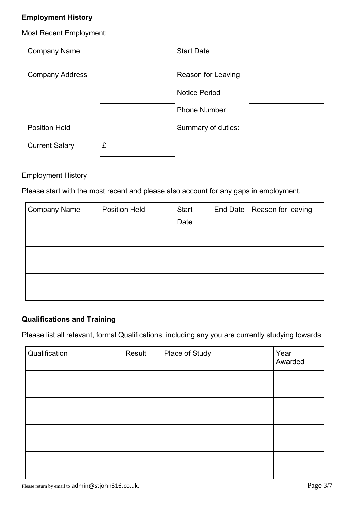#### **Employment History**

| <b>Most Recent Employment:</b> |   |                      |  |
|--------------------------------|---|----------------------|--|
| <b>Company Name</b>            |   | <b>Start Date</b>    |  |
| <b>Company Address</b>         |   | Reason for Leaving   |  |
|                                |   | <b>Notice Period</b> |  |
|                                |   | <b>Phone Number</b>  |  |
| <b>Position Held</b>           |   | Summary of duties:   |  |
| <b>Current Salary</b>          | £ |                      |  |

#### Employment History

Please start with the most recent and please also account for any gaps in employment.

| <b>Company Name</b> | <b>Position Held</b> | <b>Start</b> | End Date   Reason for leaving |
|---------------------|----------------------|--------------|-------------------------------|
|                     |                      | Date         |                               |
|                     |                      |              |                               |
|                     |                      |              |                               |
|                     |                      |              |                               |
|                     |                      |              |                               |
|                     |                      |              |                               |

#### **Qualifications and Training**

Please list all relevant, formal Qualifications, including any you are currently studying towards

| Qualification | Result | Place of Study | Year<br>Awarded |
|---------------|--------|----------------|-----------------|
|               |        |                |                 |
|               |        |                |                 |
|               |        |                |                 |
|               |        |                |                 |
|               |        |                |                 |
|               |        |                |                 |
|               |        |                |                 |
|               |        |                |                 |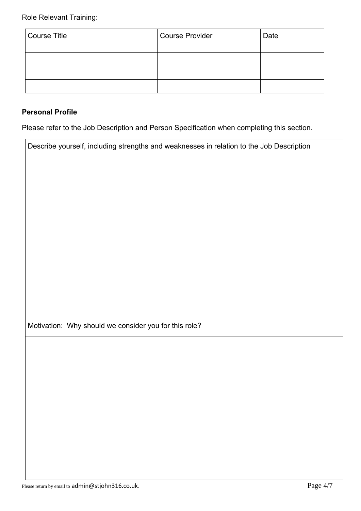| Course Title | Course Provider | Date |
|--------------|-----------------|------|
|              |                 |      |
|              |                 |      |
|              |                 |      |

#### **Personal Profile**

Please refer to the Job Description and Person Specification when completing this section.

| Describe yourself, including strengths and weaknesses in relation to the Job Description |  |
|------------------------------------------------------------------------------------------|--|
|                                                                                          |  |
|                                                                                          |  |
|                                                                                          |  |
|                                                                                          |  |
|                                                                                          |  |
|                                                                                          |  |
|                                                                                          |  |
|                                                                                          |  |
| Motivation: Why should we consider you for this role?                                    |  |
|                                                                                          |  |
|                                                                                          |  |
|                                                                                          |  |
|                                                                                          |  |
|                                                                                          |  |
|                                                                                          |  |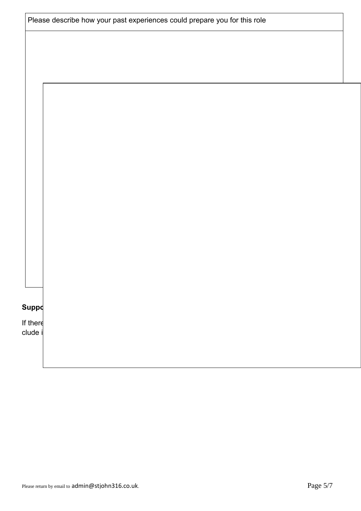| Suppd               |  |  |  |
|---------------------|--|--|--|
|                     |  |  |  |
| If there<br>clude i |  |  |  |
|                     |  |  |  |
|                     |  |  |  |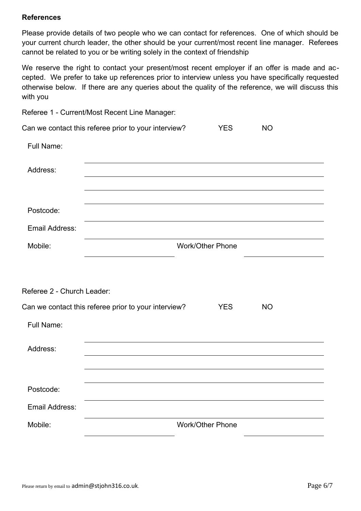#### **References**

Please provide details of two people who we can contact for references. One of which should be your current church leader, the other should be your current/most recent line manager. Referees cannot be related to you or be writing solely in the context of friendship

We reserve the right to contact your present/most recent employer if an offer is made and accepted. We prefer to take up references prior to interview unless you have specifically requested otherwise below. If there are any queries about the quality of the reference, we will discuss this with you

|                            | Referee 1 - Current/Most Recent Line Manager:        |                         |           |
|----------------------------|------------------------------------------------------|-------------------------|-----------|
|                            | Can we contact this referee prior to your interview? | <b>YES</b>              | <b>NO</b> |
| <b>Full Name:</b>          |                                                      |                         |           |
| Address:                   |                                                      |                         |           |
|                            |                                                      |                         |           |
| Postcode:                  |                                                      |                         |           |
| <b>Email Address:</b>      |                                                      |                         |           |
| Mobile:                    |                                                      | <b>Work/Other Phone</b> |           |
|                            |                                                      |                         |           |
| Referee 2 - Church Leader: |                                                      |                         |           |
|                            | Can we contact this referee prior to your interview? | <b>YES</b>              | <b>NO</b> |
| <b>Full Name:</b>          |                                                      |                         |           |
| Address:                   |                                                      |                         |           |
|                            |                                                      |                         |           |
| Postcode:                  |                                                      |                         |           |
| <b>Email Address:</b>      |                                                      |                         |           |
| Mobile:                    |                                                      | <b>Work/Other Phone</b> |           |
|                            |                                                      |                         |           |